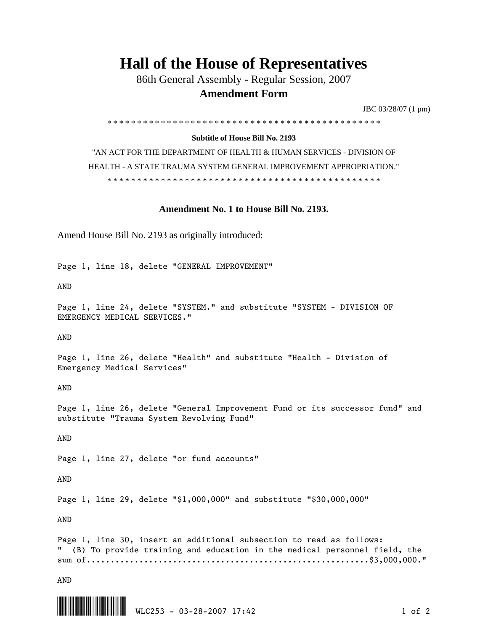## **Hall of the House of Representatives**

86th General Assembly - Regular Session, 2007

## **Amendment Form**

JBC 03/28/07 (1 pm)

\* \* \* \* \* \* \* \* \* \* \* \* \* \* \* \* \* \* \* \* \* \* \* \* \* \* \* \* \* \* \* \* \* \* \* \* \* \* \* \* \* \* \* \* \* \*

## **Subtitle of House Bill No. 2193**

"AN ACT FOR THE DEPARTMENT OF HEALTH & HUMAN SERVICES - DIVISION OF HEALTH - A STATE TRAUMA SYSTEM GENERAL IMPROVEMENT APPROPRIATION." \* \* \* \* \* \* \* \* \* \* \* \* \* \* \* \* \* \* \* \* \* \* \* \* \* \* \* \* \* \* \* \* \* \* \* \* \* \* \* \* \* \* \* \* \* \*

## **Amendment No. 1 to House Bill No. 2193.**

Amend House Bill No. 2193 as originally introduced:

Page 1, line 18, delete "GENERAL IMPROVEMENT"

AND

Page 1, line 24, delete "SYSTEM." and substitute "SYSTEM - DIVISION OF EMERGENCY MEDICAL SERVICES."

AND

Page 1, line 26, delete "Health" and substitute "Health - Division of Emergency Medical Services"

AND

Page 1, line 26, delete "General Improvement Fund or its successor fund" and substitute "Trauma System Revolving Fund"

AND

Page 1, line 27, delete "or fund accounts"

AND

Page 1, line 29, delete "\$1,000,000" and substitute "\$30,000,000"

AND

Page 1, line 30, insert an additional subsection to read as follows: " (B) To provide training and education in the medical personnel field, the sum of...........................................................\$3,000,000."

AND